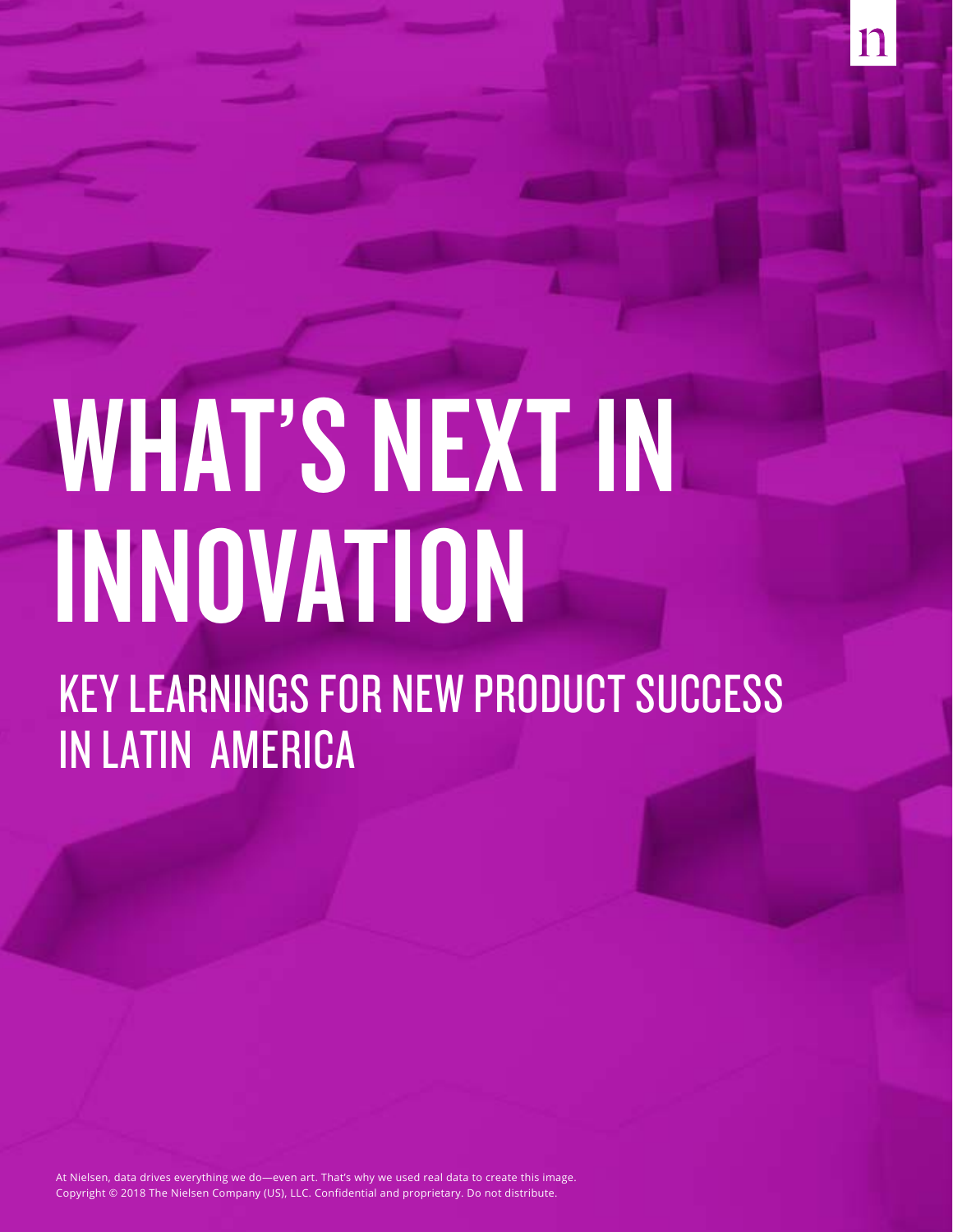# WHAT'S NEXT IN INNOVATION

KEY LEARNINGS FOR NEW PRODUCT SUCCESS IN LATIN AMERICA

Copyright © 2018 The Nielsen Company (US), LLC. Confidential and proprietary. Do not distribute. 1 Copyright © 2018 The Nielsen Company (US), LLC. Confidential and proprietary. Do not distribute.At Nielsen, data drives everything we do—even art. That's why we used real data to create this image.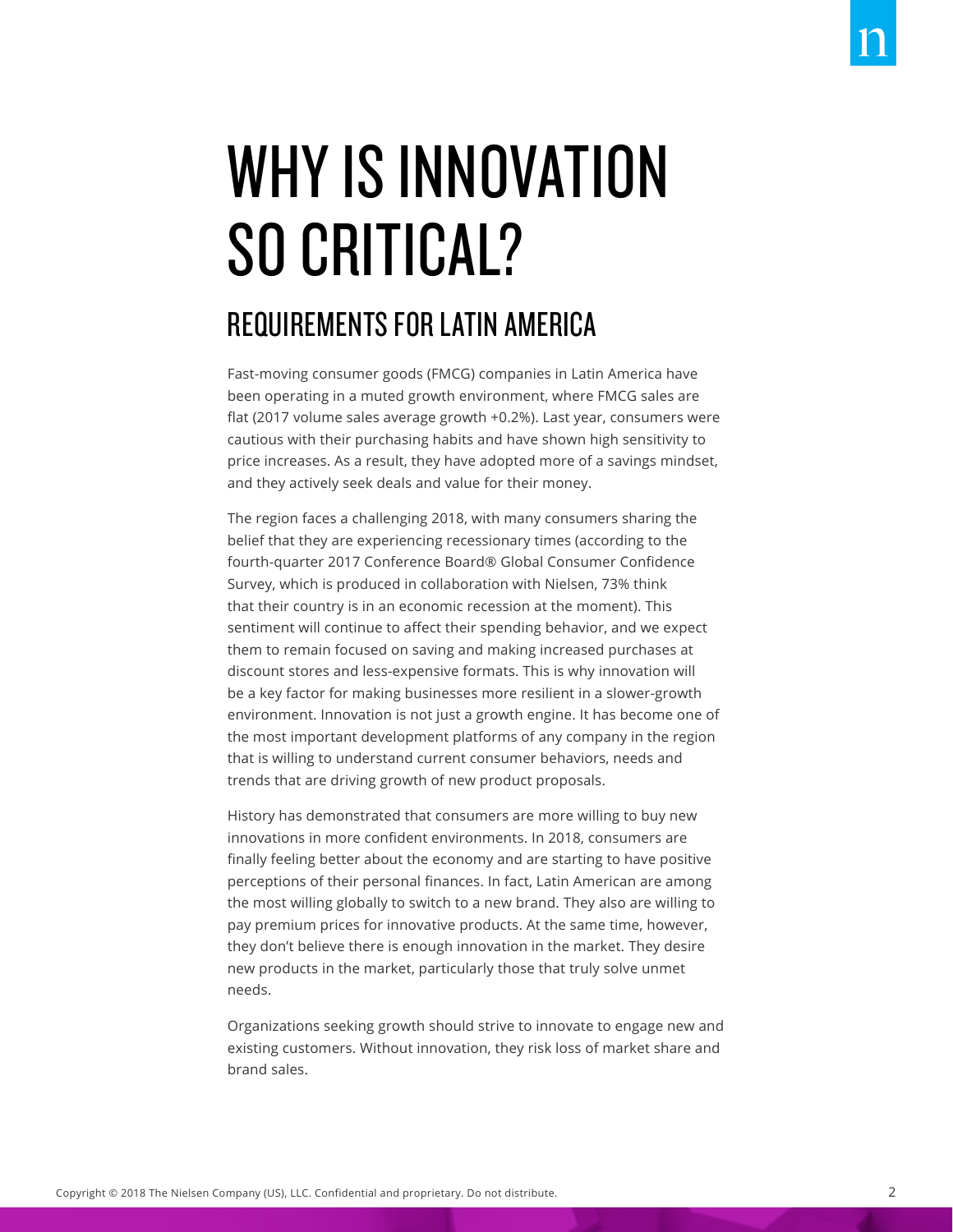# WHY IS INNOVATION SO CRITICAL?

# REQUIREMENTS FOR LATIN AMERICA

Fast-moving consumer goods (FMCG) companies in Latin America have been operating in a muted growth environment, where FMCG sales are flat (2017 volume sales average growth +0.2%). Last year, consumers were cautious with their purchasing habits and have shown high sensitivity to price increases. As a result, they have adopted more of a savings mindset, and they actively seek deals and value for their money.

The region faces a challenging 2018, with many consumers sharing the belief that they are experiencing recessionary times (according to the fourth-quarter 2017 Conference Board® Global Consumer Confidence Survey, which is produced in collaboration with Nielsen, 73% think that their country is in an economic recession at the moment). This sentiment will continue to affect their spending behavior, and we expect them to remain focused on saving and making increased purchases at discount stores and less-expensive formats. This is why innovation will be a key factor for making businesses more resilient in a slower-growth environment. Innovation is not just a growth engine. It has become one of the most important development platforms of any company in the region that is willing to understand current consumer behaviors, needs and trends that are driving growth of new product proposals.

History has demonstrated that consumers are more willing to buy new innovations in more confident environments. In 2018, consumers are finally feeling better about the economy and are starting to have positive perceptions of their personal finances. In fact, Latin American are among the most willing globally to switch to a new brand. They also are willing to pay premium prices for innovative products. At the same time, however, they don't believe there is enough innovation in the market. They desire new products in the market, particularly those that truly solve unmet needs.

Organizations seeking growth should strive to innovate to engage new and existing customers. Without innovation, they risk loss of market share and brand sales.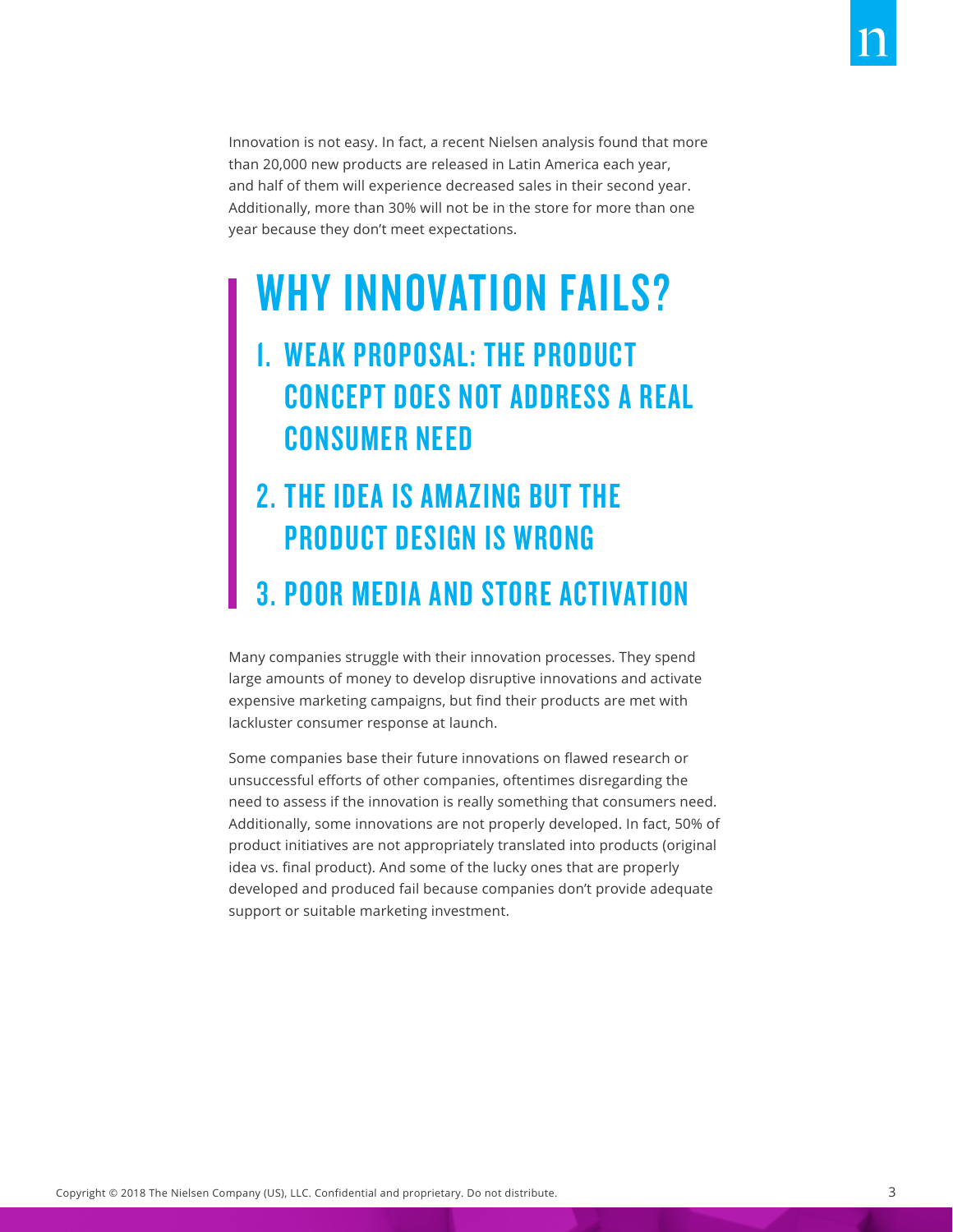Innovation is not easy. In fact, a recent Nielsen analysis found that more than 20,000 new products are released in Latin America each year, and half of them will experience decreased sales in their second year. Additionally, more than 30% will not be in the store for more than one year because they don't meet expectations.

### WHY INNOVATION FAILS?

#### 1. WEAK PROPOSAL: THE PRODUCT CONCEPT DOES NOT ADDRESS A REAL CONSUMER NEED

#### 2. THE IDEA IS AMAZING BUT THE PRODUCT DESIGN IS WRONG

#### 3. POOR MEDIA AND STORE ACTIVATION

Many companies struggle with their innovation processes. They spend large amounts of money to develop disruptive innovations and activate expensive marketing campaigns, but find their products are met with lackluster consumer response at launch.

Some companies base their future innovations on flawed research or unsuccessful efforts of other companies, oftentimes disregarding the need to assess if the innovation is really something that consumers need. Additionally, some innovations are not properly developed. In fact, 50% of product initiatives are not appropriately translated into products (original idea vs. final product). And some of the lucky ones that are properly developed and produced fail because companies don't provide adequate support or suitable marketing investment.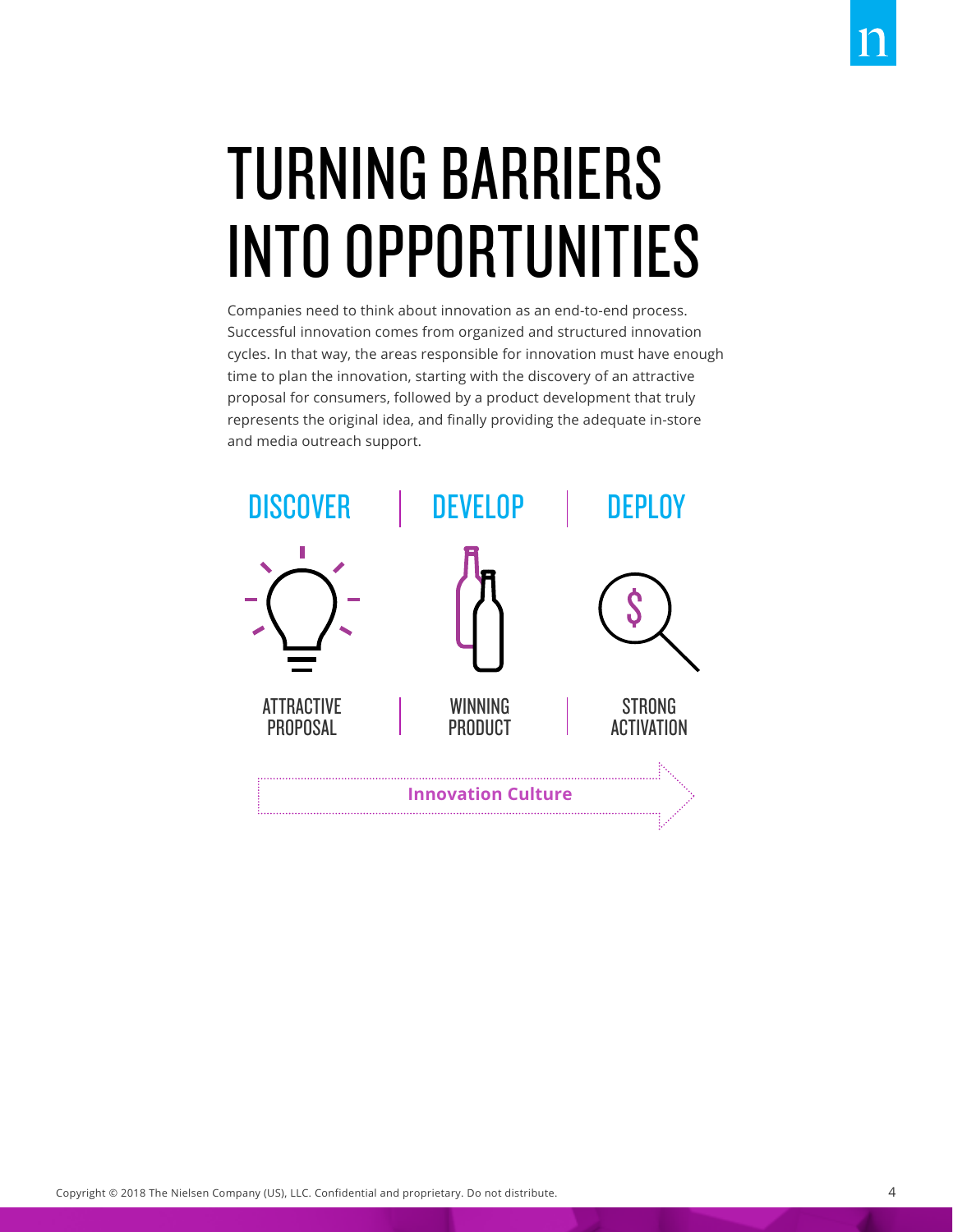# TURNING BARRIERS INTO OPPORTUNITIES

Companies need to think about innovation as an end-to-end process. Successful innovation comes from organized and structured innovation cycles. In that way, the areas responsible for innovation must have enough time to plan the innovation, starting with the discovery of an attractive proposal for consumers, followed by a product development that truly represents the original idea, and finally providing the adequate in-store and media outreach support.

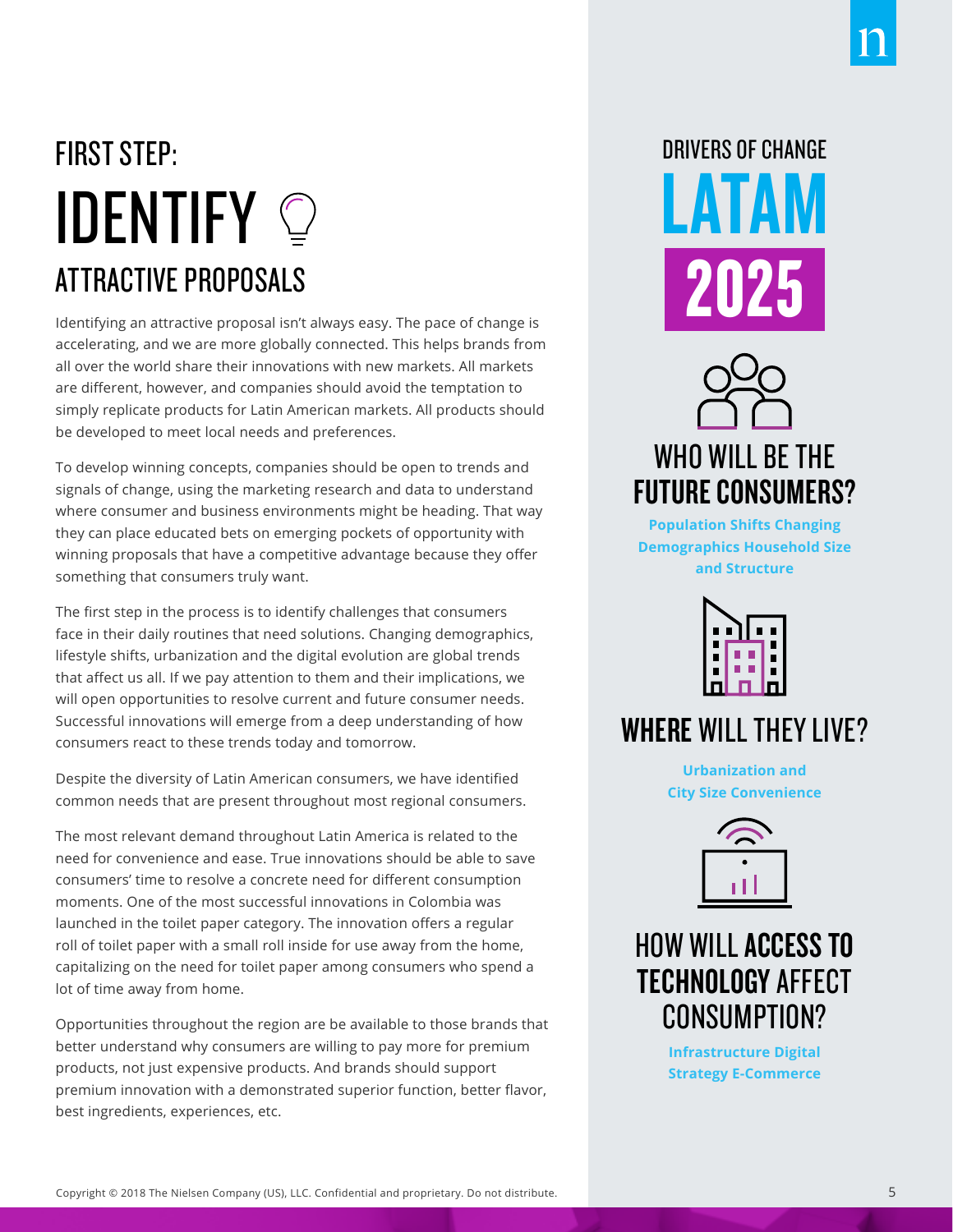## FIRST STEP: **IDENTIFY**  $\odot$ ATTRACTIVE PROPOSALS

Identifying an attractive proposal isn't always easy. The pace of change is accelerating, and we are more globally connected. This helps brands from all over the world share their innovations with new markets. All markets are different, however, and companies should avoid the temptation to simply replicate products for Latin American markets. All products should be developed to meet local needs and preferences.

To develop winning concepts, companies should be open to trends and signals of change, using the marketing research and data to understand where consumer and business environments might be heading. That way they can place educated bets on emerging pockets of opportunity with winning proposals that have a competitive advantage because they offer something that consumers truly want.

The first step in the process is to identify challenges that consumers face in their daily routines that need solutions. Changing demographics, lifestyle shifts, urbanization and the digital evolution are global trends that affect us all. If we pay attention to them and their implications, we will open opportunities to resolve current and future consumer needs. Successful innovations will emerge from a deep understanding of how consumers react to these trends today and tomorrow.

Despite the diversity of Latin American consumers, we have identified common needs that are present throughout most regional consumers.

The most relevant demand throughout Latin America is related to the need for convenience and ease. True innovations should be able to save consumers' time to resolve a concrete need for different consumption moments. One of the most successful innovations in Colombia was launched in the toilet paper category. The innovation offers a regular roll of toilet paper with a small roll inside for use away from the home, capitalizing on the need for toilet paper among consumers who spend a lot of time away from home.

Opportunities throughout the region are be available to those brands that better understand why consumers are willing to pay more for premium products, not just expensive products. And brands should support premium innovation with a demonstrated superior function, better flavor, best ingredients, experiences, etc.

# DRIVERS OF CHANGE LATAM 2025



**Population Shifts Changing Demographics Household Size and Structure**



#### WHERE WILL THEY LIVE?

**Urbanization and City Size Convenience**



#### HOW WILL ACCESS TO TECHNOLOGY AFFECT CONSUMPTION?

**Infrastructure Digital Strategy E-Commerce**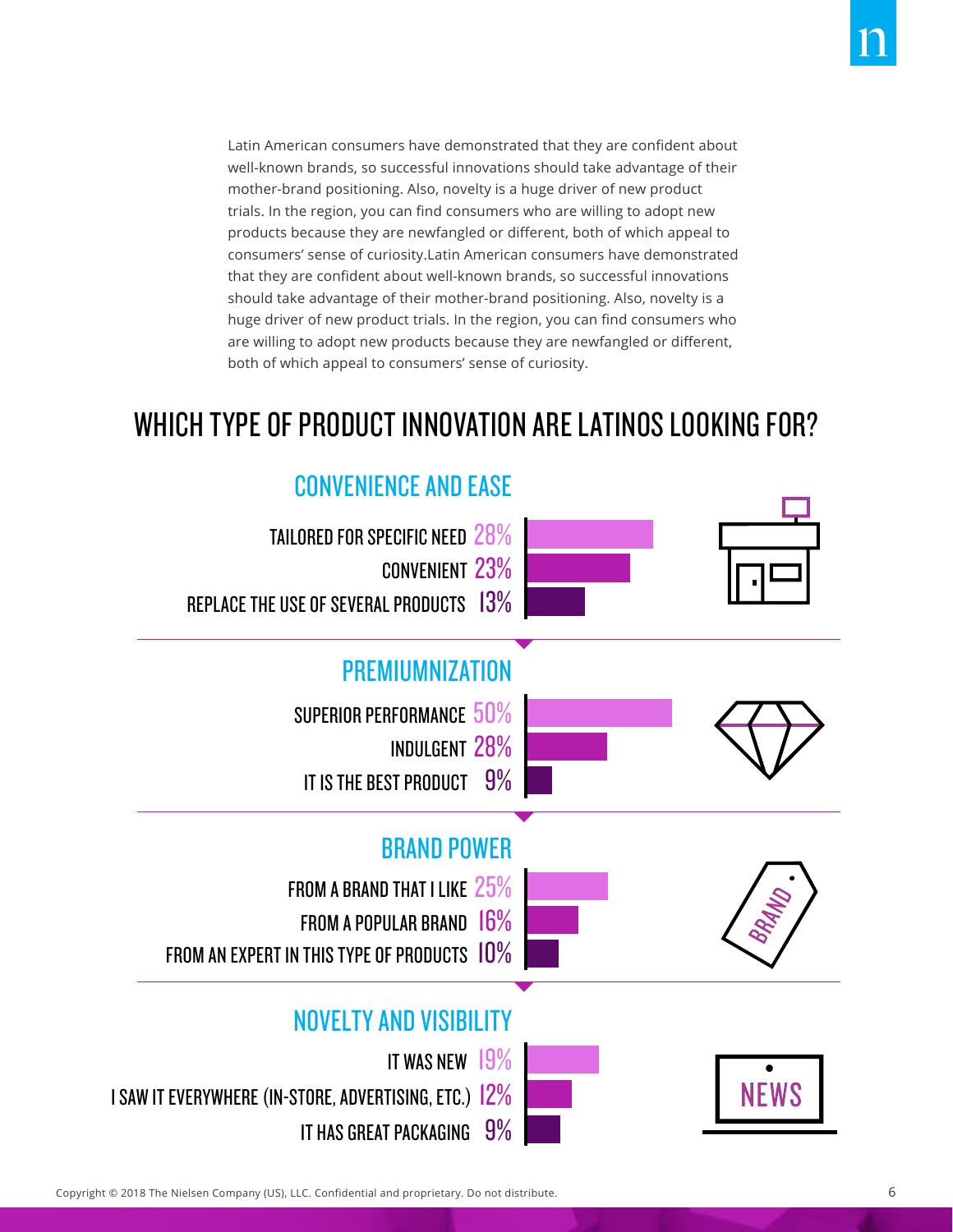Latin American consumers have demonstrated that they are confident about well-known brands, so successful innovations should take advantage of their mother-brand positioning. Also, novelty is a huge driver of new product trials. In the region, you can find consumers who are willing to adopt new products because they are newfangled or different, both of which appeal to consumers' sense of curiosity.Latin American consumers have demonstrated that they are confident about well-known brands, so successful innovations should take advantage of their mother-brand positioning. Also, novelty is a huge driver of new product trials. In the region, you can find consumers who are willing to adopt new products because they are newfangled or different, both of which appeal to consumers' sense of curiosity.

#### WHICH TYPE OF PRODUCT INNOVATION ARE LATINOS LOOKING FOR?

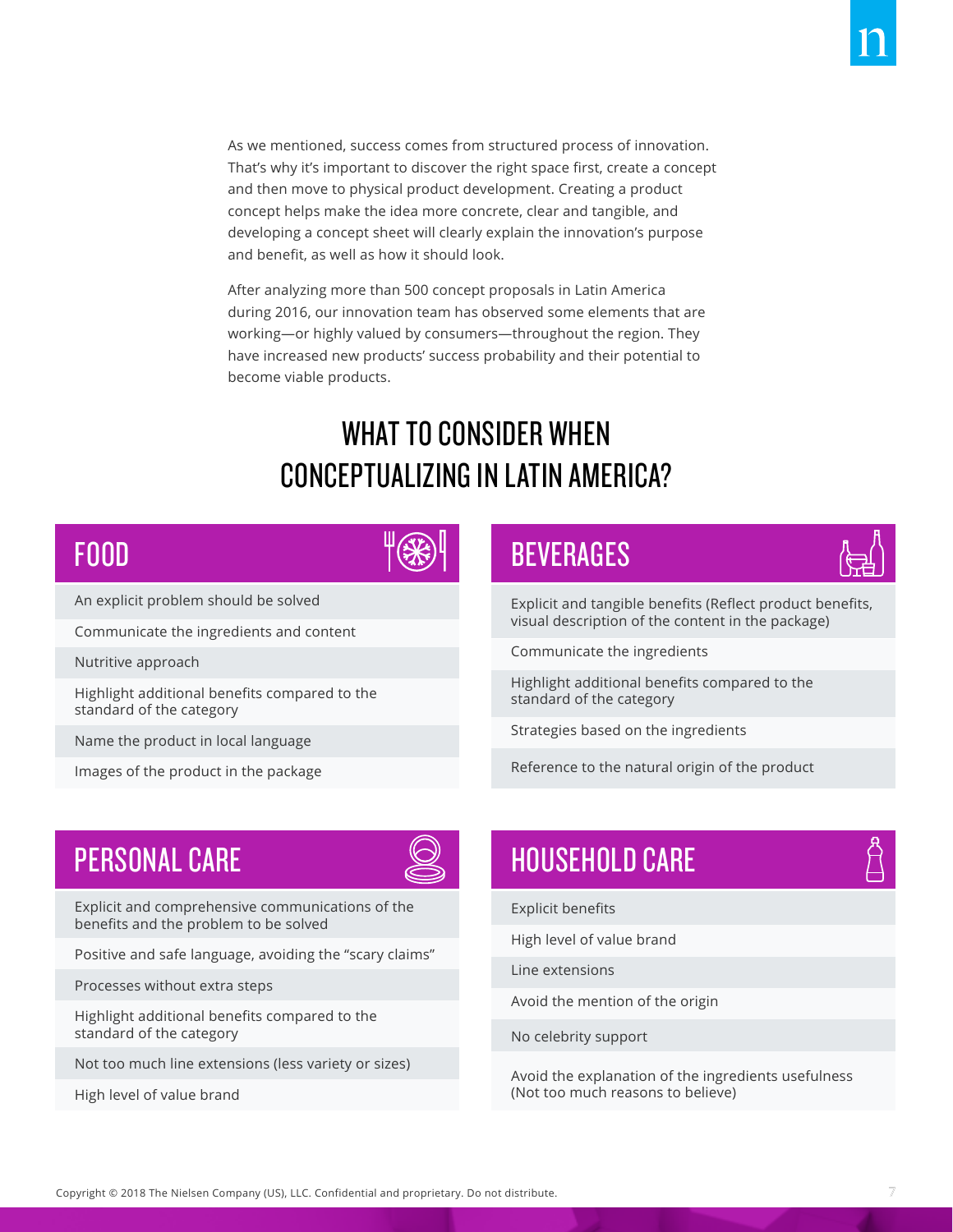and then move to physical product development. Creating a product concept helps make the idea more concrete, clear and tangible, and developing a concept sheet will clearly explain the innovation's purpose and benefit, as well as how it should look.

After analyzing more than 500 concept proposals in Latin America during 2016, our innovation team has observed some elements that are working—or highly valued by consumers—throughout the region. They have increased new products' success probability and their potential to become viable products.

#### WHAT TO CONSIDER WHEN CONCEPTUALIZING IN LATIN AMERICA?

#### FOOD



An explicit problem should be solved

Communicate the ingredients and content

Nutritive approach

Highlight additional benefits compared to the standard of the category

Name the product in local language

Images of the product in the package

#### BEVERAGES



Explicit and tangible benefits (Reflect product benefits, visual description of the content in the package)

Communicate the ingredients

Highlight additional benefits compared to the standard of the category

Strategies based on the ingredients

Reference to the natural origin of the product



Explicit and comprehensive communications of the benefits and the problem to be solved

Positive and safe language, avoiding the "scary claims"

Processes without extra steps

Highlight additional benefits compared to the standard of the category

Not too much line extensions (less variety or sizes)

High level of value brand

#### PERSONAL CARE HOUSEHOLD CARE

Explicit benefits

High level of value brand

Line extensions

Avoid the mention of the origin

No celebrity support

Avoid the explanation of the ingredients usefulness (Not too much reasons to believe)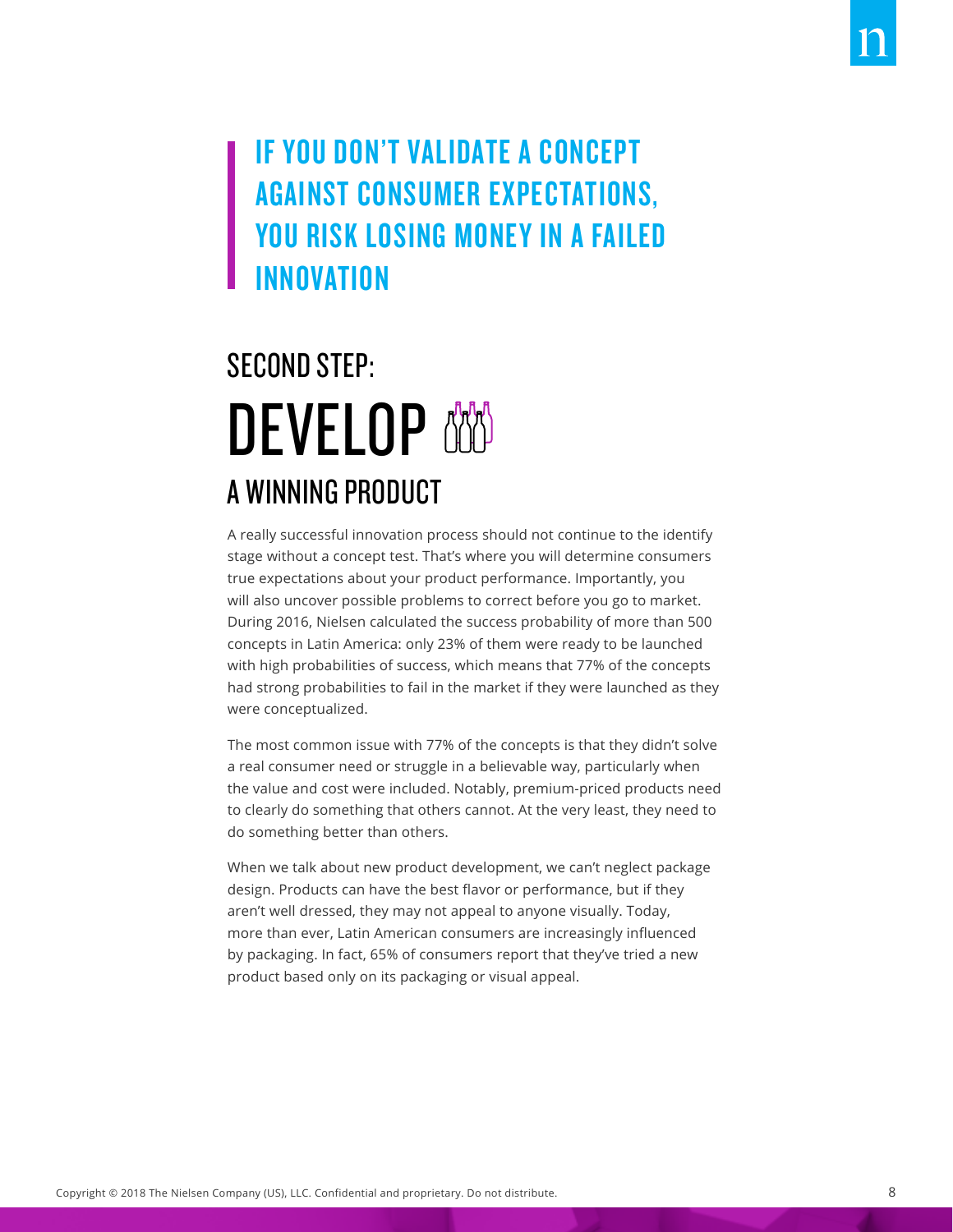#### IF YOU DON'T VALIDATE A CONCEPT AGAINST CONSUMER EXPECTATIONS, YOU RISK LOSING MONEY IN A FAILED INNOVATION

### SECOND STEP: **DEVELOP** A WINNING PRODUCT

A really successful innovation process should not continue to the identify stage without a concept test. That's where you will determine consumers true expectations about your product performance. Importantly, you will also uncover possible problems to correct before you go to market. During 2016, Nielsen calculated the success probability of more than 500 concepts in Latin America: only 23% of them were ready to be launched with high probabilities of success, which means that 77% of the concepts had strong probabilities to fail in the market if they were launched as they were conceptualized.

The most common issue with 77% of the concepts is that they didn't solve a real consumer need or struggle in a believable way, particularly when the value and cost were included. Notably, premium-priced products need to clearly do something that others cannot. At the very least, they need to do something better than others.

When we talk about new product development, we can't neglect package design. Products can have the best flavor or performance, but if they aren't well dressed, they may not appeal to anyone visually. Today, more than ever, Latin American consumers are increasingly influenced by packaging. In fact, 65% of consumers report that they've tried a new product based only on its packaging or visual appeal.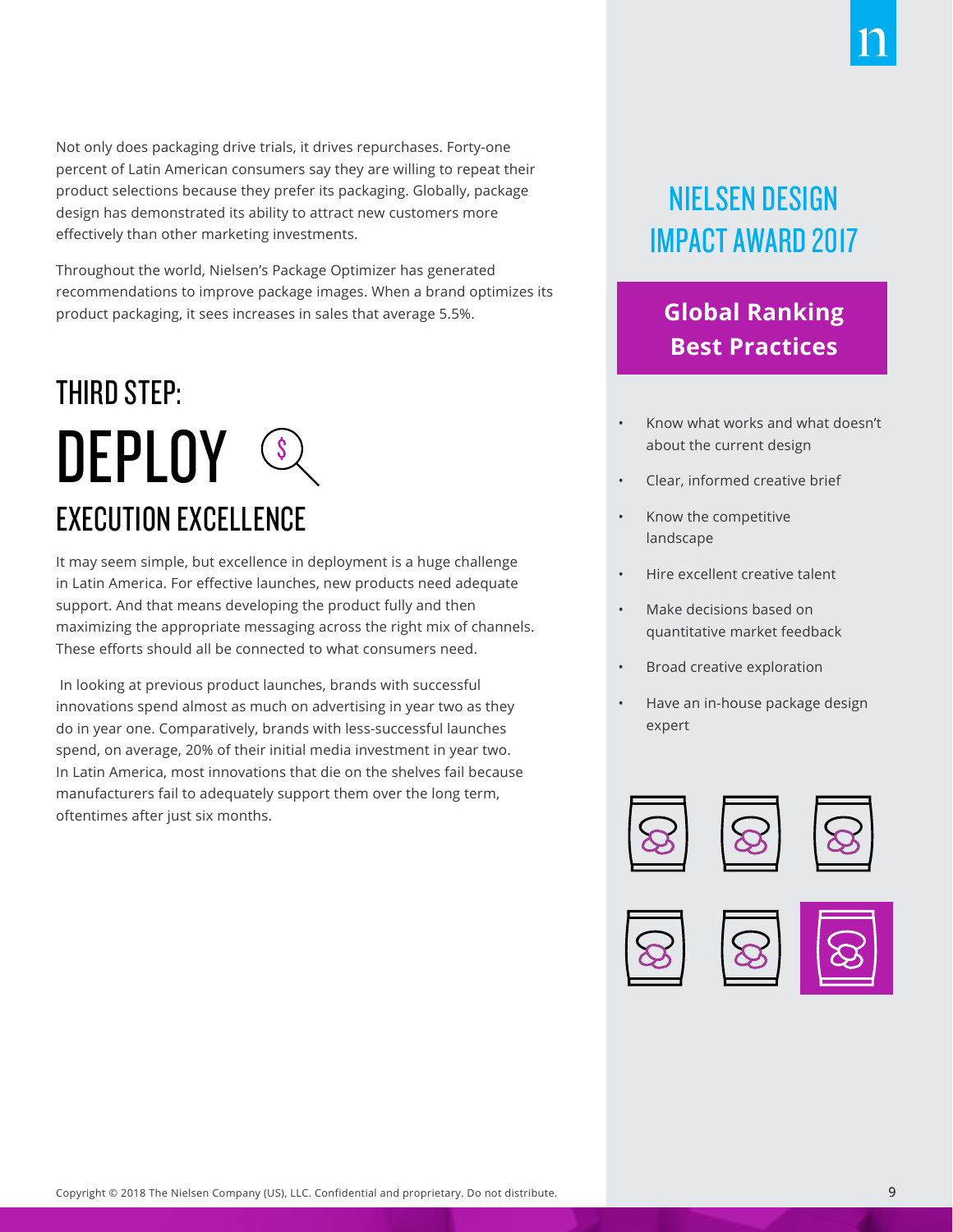Not only does packaging drive trials, it drives repurchases. Forty-one percent of Latin American consumers say they are willing to repeat their product selections because they prefer its packaging. Globally, package design has demonstrated its ability to attract new customers more effectively than other marketing investments.

Throughout the world, Nielsen's Package Optimizer has generated recommendations to improve package images. When a brand optimizes its product packaging, it sees increases in sales that average 5.5%.

### THIRD STEP: **DEPLOY SQ** EXECUTION EXCELLENCE

It may seem simple, but excellence in deployment is a huge challenge in Latin America. For effective launches, new products need adequate support. And that means developing the product fully and then maximizing the appropriate messaging across the right mix of channels. These efforts should all be connected to what consumers need.

 In looking at previous product launches, brands with successful innovations spend almost as much on advertising in year two as they do in year one. Comparatively, brands with less-successful launches spend, on average, 20% of their initial media investment in year two. In Latin America, most innovations that die on the shelves fail because manufacturers fail to adequately support them over the long term, oftentimes after just six months.

#### NIELSEN DESIGN IMPACT AWARD 2017

#### **Global Ranking Best Practices**

- Know what works and what doesn't about the current design
- Clear, informed creative brief
- Know the competitive landscape
- Hire excellent creative talent
- Make decisions based on quantitative market feedback
- Broad creative exploration
- Have an in-house package design expert







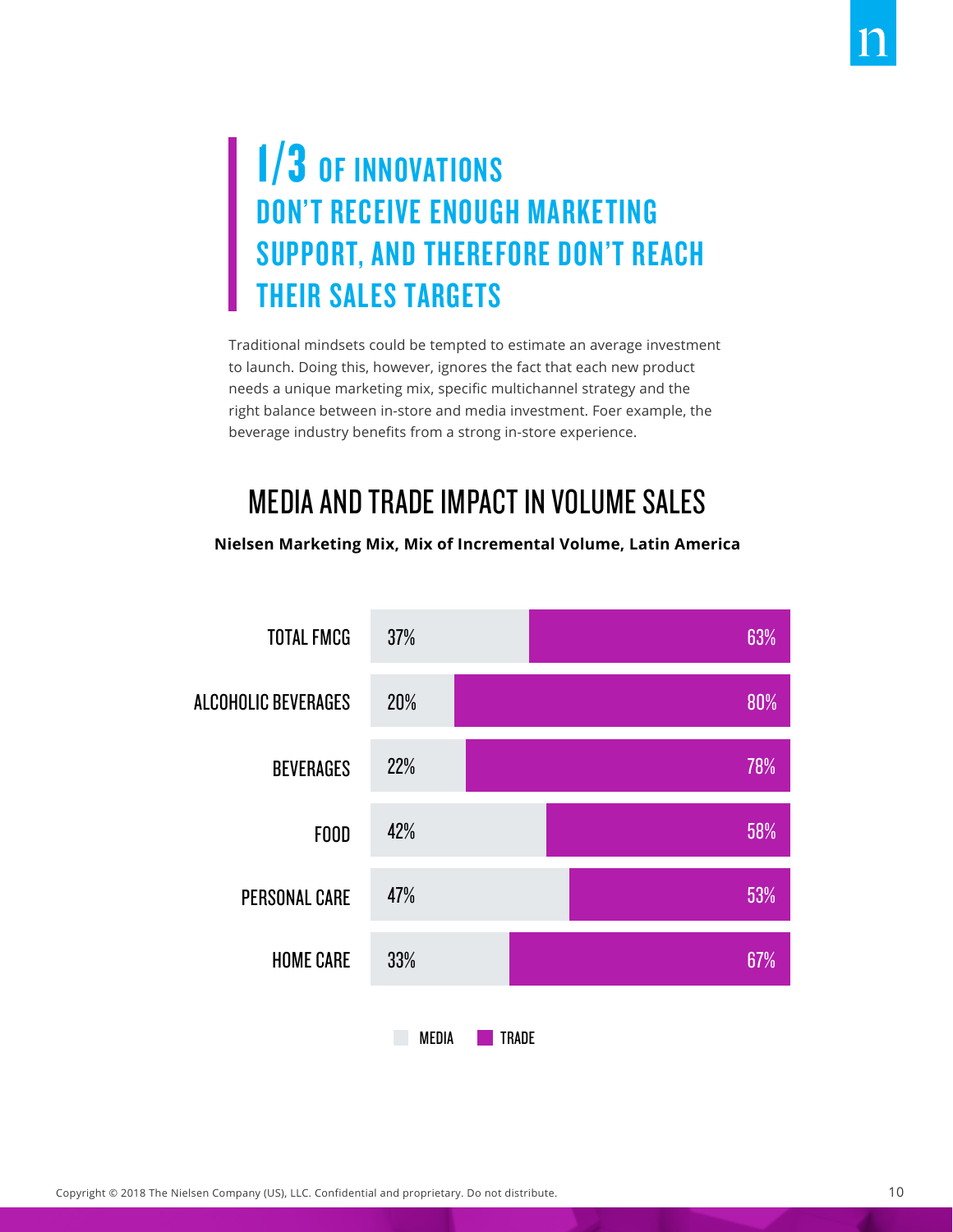### 1/3 OF INNOVATIONS DON'T RECEIVE ENOUGH MARKETING SUPPORT, AND THEREFORE DON'T REACH THEIR SALES TARGETS

Traditional mindsets could be tempted to estimate an average investment to launch. Doing this, however, ignores the fact that each new product needs a unique marketing mix, specific multichannel strategy and the right balance between in-store and media investment. Foer example, the beverage industry benefits from a strong in-store experience.

#### MEDIA AND TRADE IMPACT IN VOLUME SALES

#### **Nielsen Marketing Mix, Mix of Incremental Volume, Latin America**

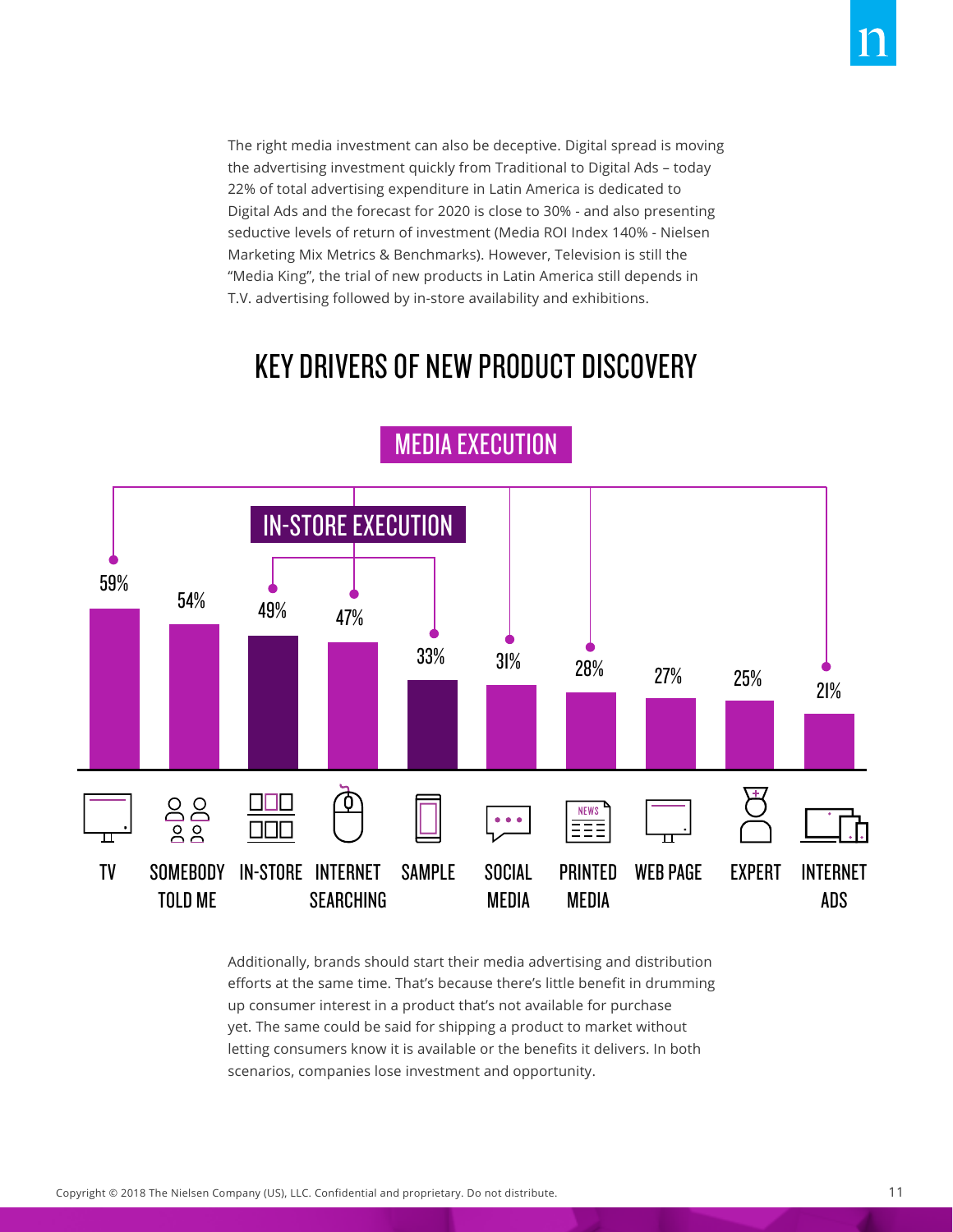The right media investment can also be deceptive. Digital spread is moving the advertising investment quickly from Traditional to Digital Ads – today 22% of total advertising expenditure in Latin America is dedicated to Digital Ads and the forecast for 2020 is close to 30% - and also presenting seductive levels of return of investment (Media ROI Index 140% - Nielsen Marketing Mix Metrics & Benchmarks). However, Television is still the "Media King", the trial of new products in Latin America still depends in T.V. advertising followed by in-store availability and exhibitions.

#### KEY DRIVERS OF NEW PRODUCT DISCOVERY



MEDIA EXECUTION

Additionally, brands should start their media advertising and distribution efforts at the same time. That's because there's little benefit in drumming up consumer interest in a product that's not available for purchase yet. The same could be said for shipping a product to market without letting consumers know it is available or the benefits it delivers. In both scenarios, companies lose investment and opportunity.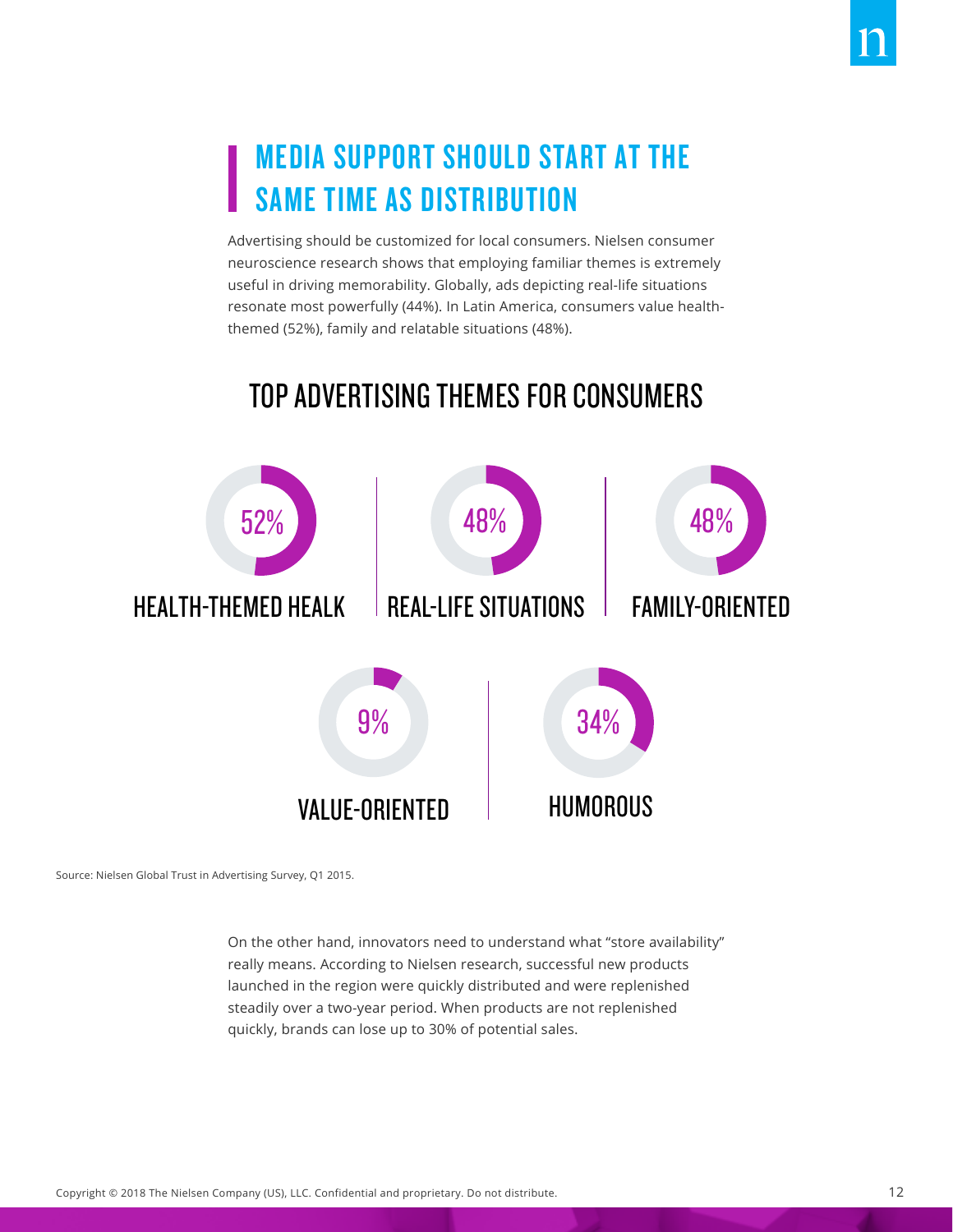Advertising should be customized for local consumers. Nielsen consumer neuroscience research shows that employing familiar themes is extremely useful in driving memorability. Globally, ads depicting real-life situations resonate most powerfully (44%). In Latin America, consumers value healththemed (52%), family and relatable situations (48%).

#### TOP ADVERTISING THEMES FOR CONSUMERS



Source: Nielsen Global Trust in Advertising Survey, Q1 2015.

On the other hand, innovators need to understand what "store availability" really means. According to Nielsen research, successful new products launched in the region were quickly distributed and were replenished steadily over a two-year period. When products are not replenished quickly, brands can lose up to 30% of potential sales.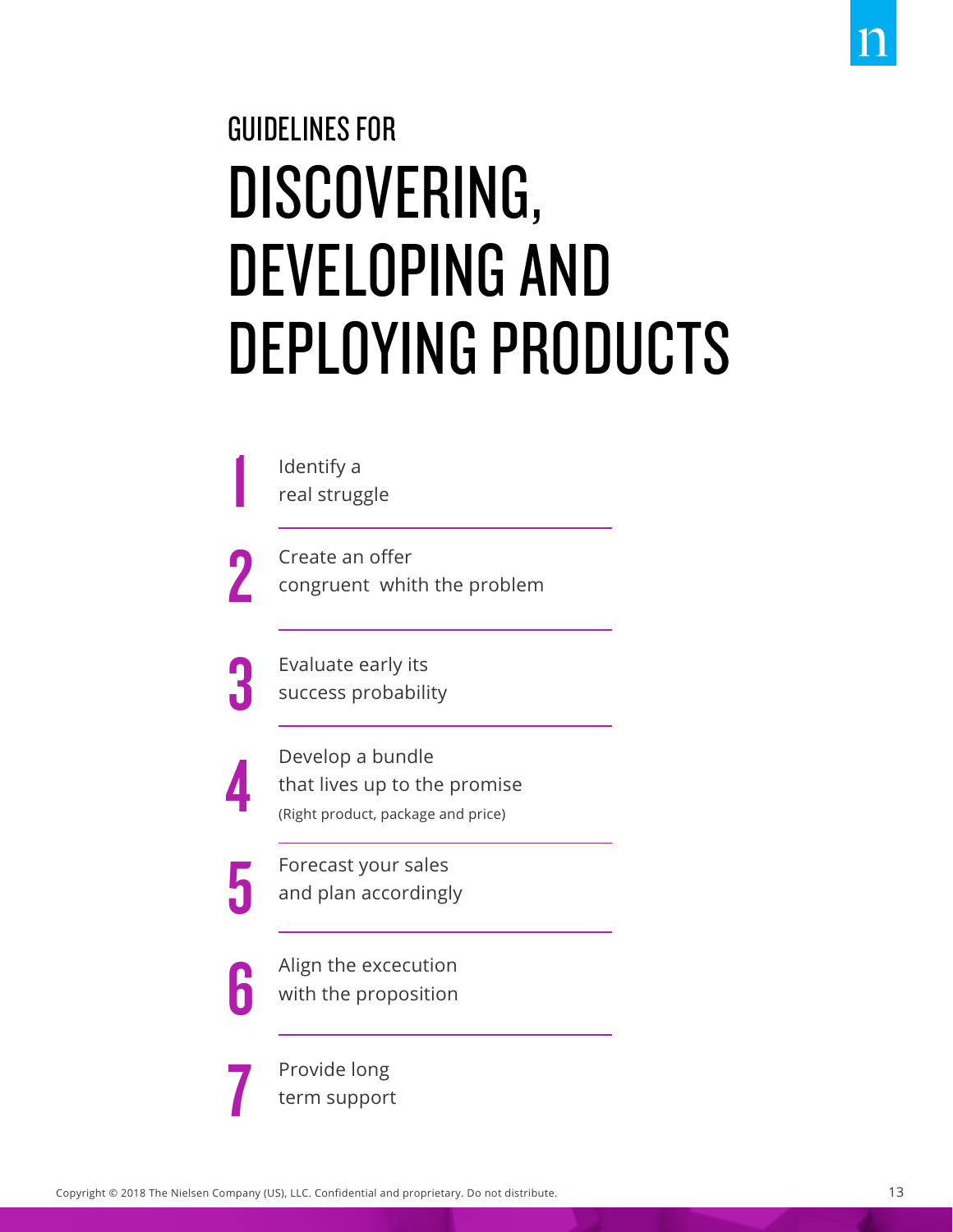# GUIDELINES FOR DISCOVERING, DEVELOPING AND DEPLOYING PRODUCTS

| Identify a<br>real struggle                                                            |
|----------------------------------------------------------------------------------------|
| Create an offer<br>congruent whith the problem                                         |
| Evaluate early its<br>success probability                                              |
| Develop a bundle<br>that lives up to the promise<br>(Right product, package and price) |
| Forecast your sales<br>and plan accordingly                                            |
| Align the excecution<br>with the proposition                                           |
| Provide long<br>term support                                                           |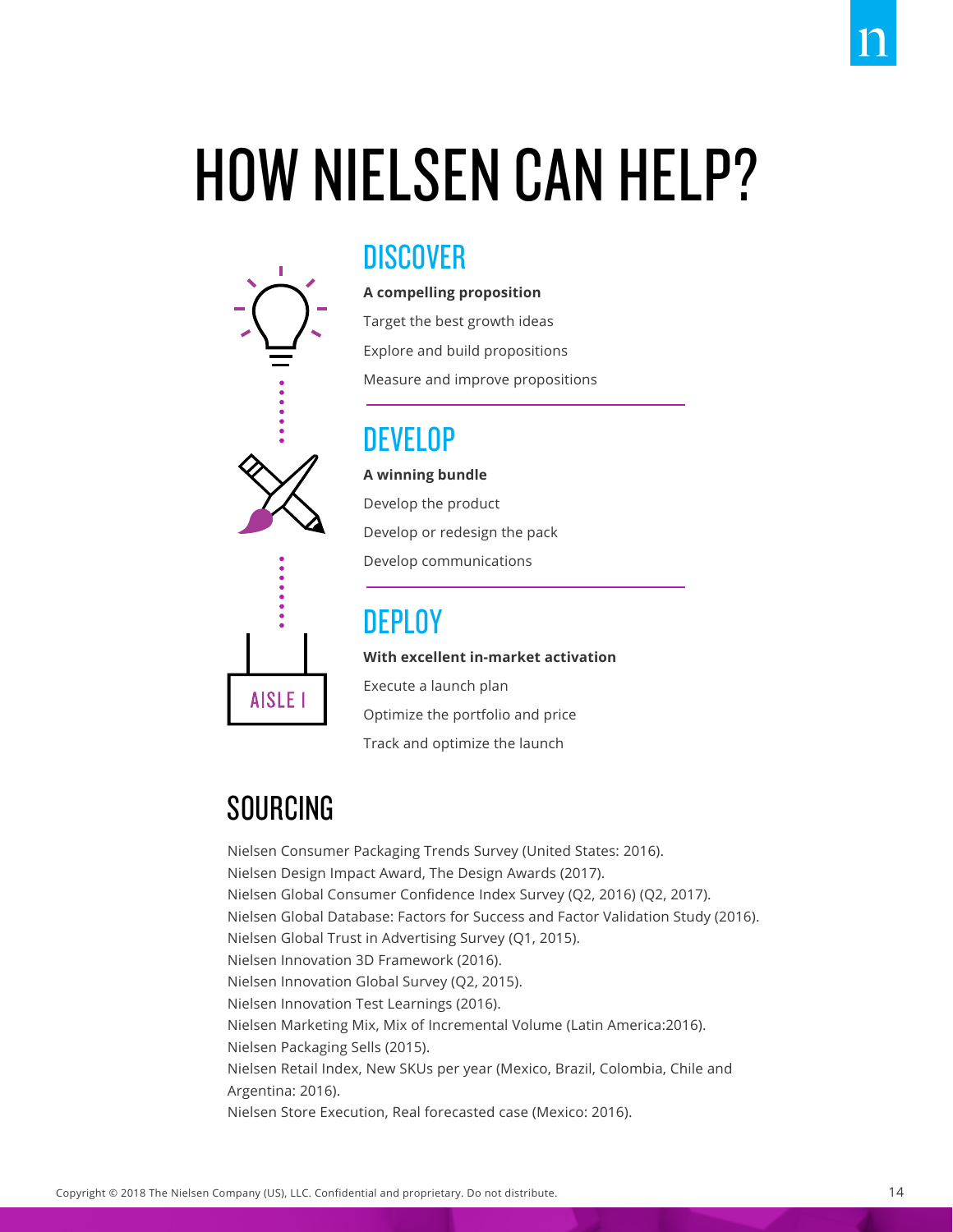# HOW NIELSEN CAN HELP?



**A compelling proposition** Target the best growth ideas Explore and build propositions Measure and improve propositions

#### DEVELOP

**A winning bundle** Develop the product



**DEPLOY With excellent in-market activation**  Execute a launch plan Optimize the portfolio and price

Track and optimize the launch

Develop or redesign the pack

Develop communications

#### SOURCING

Nielsen Consumer Packaging Trends Survey (United States: 2016). Nielsen Design Impact Award, The Design Awards (2017). Nielsen Global Consumer Confidence Index Survey (Q2, 2016) (Q2, 2017). Nielsen Global Database: Factors for Success and Factor Validation Study (2016). Nielsen Global Trust in Advertising Survey (Q1, 2015). Nielsen Innovation 3D Framework (2016). Nielsen Innovation Global Survey (Q2, 2015). Nielsen Innovation Test Learnings (2016). Nielsen Marketing Mix, Mix of Incremental Volume (Latin America:2016). Nielsen Packaging Sells (2015). Nielsen Retail Index, New SKUs per year (Mexico, Brazil, Colombia, Chile and Argentina: 2016). Nielsen Store Execution, Real forecasted case (Mexico: 2016).